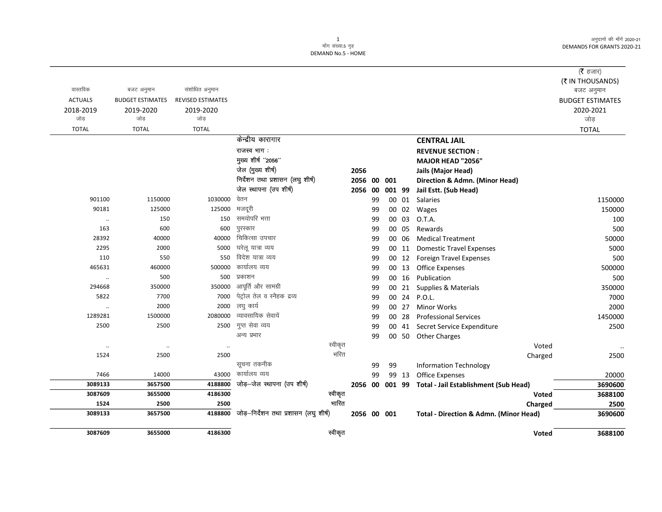अनुदानों की माँगें 2020-21 DEMANDS FOR GRANTS 2020-21

## 1<br>माँग संख्या 5 गृह DEMAND No.5 - HOME

|                  |                         |                          |                                                            |         |             |          |        |       |                                                      | (रै हजार)               |
|------------------|-------------------------|--------------------------|------------------------------------------------------------|---------|-------------|----------|--------|-------|------------------------------------------------------|-------------------------|
|                  |                         |                          |                                                            |         |             |          |        |       |                                                      | (₹ IN THOUSANDS)        |
| वास्तविक         | बजट अनुमान              | संशोधित अनुमान           |                                                            |         |             |          |        |       |                                                      | बजट अनुमान              |
| <b>ACTUALS</b>   | <b>BUDGET ESTIMATES</b> | <b>REVISED ESTIMATES</b> |                                                            |         |             |          |        |       |                                                      | <b>BUDGET ESTIMATES</b> |
| 2018-2019<br>जोड | 2019-2020<br>जोड        | 2019-2020<br>जोड         |                                                            |         |             |          |        |       |                                                      | 2020-2021               |
|                  | <b>TOTAL</b>            | <b>TOTAL</b>             |                                                            |         |             |          |        |       |                                                      | जोड़                    |
| <b>TOTAL</b>     |                         |                          | केन्द्रीय कारागार                                          |         |             |          |        |       |                                                      | <b>TOTAL</b>            |
|                  |                         |                          |                                                            |         |             |          |        |       | <b>CENTRAL JAIL</b>                                  |                         |
|                  |                         |                          | राजस्व भाग:                                                |         |             |          |        |       | <b>REVENUE SECTION:</b>                              |                         |
|                  |                         |                          | मुख्य शीर्ष "2056"                                         |         |             |          |        |       | MAJOR HEAD "2056"                                    |                         |
|                  |                         |                          | जेल (मुख्य शीर्ष)                                          |         | 2056        |          |        |       | Jails (Major Head)                                   |                         |
|                  |                         |                          | निर्देशन तथा प्रशासन (लघु शीर्ष)<br>जेल स्थापना (उप शीर्ष) |         | 2056 00     |          | 001    |       | Direction & Admn. (Minor Head)                       |                         |
| 901100           | 1150000                 | 1030000                  | वेतन                                                       |         | 2056 00     |          | 001 99 |       | Jail Estt. (Sub Head)                                |                         |
| 90181            | 125000                  | 125000                   | मजदूरी                                                     |         |             | 99       |        | 00 01 | Salaries                                             | 1150000                 |
|                  | 150                     | 150                      | समयोपरि भत्ता                                              |         |             | 99<br>99 |        | 00 03 | 00 02 Wages<br>O.T.A.                                | 150000<br>100           |
| $\ldots$<br>163  | 600                     | 600                      | पुरस्कार                                                   |         |             | 99       |        | 00 05 | Rewards                                              | 500                     |
| 28392            | 40000                   | 40000                    | चिकित्सा उपचार                                             |         |             | 99       |        | 00 06 | <b>Medical Treatment</b>                             | 50000                   |
| 2295             | 2000                    | 5000                     | घरेलू यात्रा व्यय                                          |         |             | 99       |        | 00 11 | <b>Domestic Travel Expenses</b>                      | 5000                    |
| 110              | 550                     | 550                      | विदेश यात्रा व्यय                                          |         |             | 99       |        | 00 12 | <b>Foreign Travel Expenses</b>                       | 500                     |
| 465631           | 460000                  | 500000                   | कार्यालय व्यय                                              |         |             | 99       |        | 00 13 | <b>Office Expenses</b>                               | 500000                  |
| $\ldots$         | 500                     | 500                      | प्रकाशन                                                    |         |             | 99       |        | 00 16 | Publication                                          | 500                     |
| 294668           | 350000                  | 350000                   | आपूर्ति और सामग्री                                         |         |             | 99       |        | 00 21 | Supplies & Materials                                 | 350000                  |
| 5822             | 7700                    | 7000                     | पेट्रोल तेल व स्नैहक द्रव्य                                |         |             | 99       |        | 00 24 | <b>P.O.L.</b>                                        | 7000                    |
| $\ldots$         | 2000                    | 2000                     | लघु कार्य                                                  |         |             | 99       |        | 00 27 | <b>Minor Works</b>                                   | 2000                    |
| 1289281          | 1500000                 | 2080000                  | व्यावसायिक सेवायें                                         |         |             | 99       |        | 00 28 | <b>Professional Services</b>                         | 1450000                 |
| 2500             | 2500                    | 2500                     | गुप्त सेवा व्यय                                            |         |             | 99       |        |       | 00 41 Secret Service Expenditure                     | 2500                    |
|                  |                         |                          | अन्य प्रभार                                                |         |             | 99       |        |       | 00 50 Other Charges                                  |                         |
| $\ldots$         | $\ddots$                | $\ddot{\phantom{a}}$     |                                                            | स्वीकृत |             |          |        |       | Voted                                                | $\ddotsc$               |
| 1524             | 2500                    | 2500                     |                                                            | भरित    |             |          |        |       | Charged                                              | 2500                    |
|                  |                         |                          | सूचना तकनीक                                                |         |             | 99       | 99     |       | <b>Information Technology</b>                        |                         |
| 7466             | 14000                   | 43000                    | कार्यालय व्यय                                              |         |             | 99       |        | 99 13 | Office Expenses                                      | 20000                   |
| 3089133          | 3657500                 | 4188800                  | जोड़–जेल स्थापना (उप शीर्ष)                                |         |             |          |        |       | 2056 00 001 99 Total - Jail Establishment (Sub Head) | 3690600                 |
| 3087609          | 3655000                 | 4186300                  |                                                            | स्वीकृत |             |          |        |       | Voted                                                | 3688100                 |
| 1524             | 2500                    | 2500                     |                                                            | भारित   |             |          |        |       | Charged                                              | 2500                    |
| 3089133          | 3657500                 | 4188800                  | जोड़–निर्देशन तथा प्रशासन (लघु शीर्ष)                      |         | 2056 00 001 |          |        |       | Total - Direction & Admn. (Minor Head)               | 3690600                 |
| 3087609          | 3655000                 | 4186300                  |                                                            | स्वीकृत |             |          |        |       | <b>Voted</b>                                         | 3688100                 |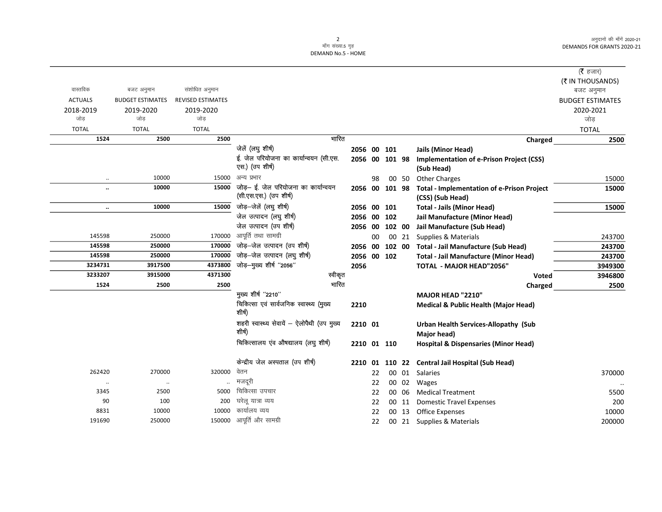अनुदानों की माँगें 2020-21 DEMANDS FOR GRANTS 2020-21

## 2<br>माँग संख्या.5 गृह

DEMAND No.5 - HOME

|                      |                         |                          |                                                           |             |    |        |       |                                                               | ( $\bar{\tau}$ हजार)    |
|----------------------|-------------------------|--------------------------|-----------------------------------------------------------|-------------|----|--------|-------|---------------------------------------------------------------|-------------------------|
|                      |                         |                          |                                                           |             |    |        |       |                                                               |                         |
| वास्तविक             | बजट अनुमान              | संशोधित अनुमान           |                                                           |             |    |        |       |                                                               | (₹ IN THOUSANDS)        |
| <b>ACTUALS</b>       |                         | <b>REVISED ESTIMATES</b> |                                                           |             |    |        |       |                                                               | बजट अनुमान              |
|                      | <b>BUDGET ESTIMATES</b> |                          |                                                           |             |    |        |       |                                                               | <b>BUDGET ESTIMATES</b> |
| 2018-2019            | 2019-2020               | 2019-2020                |                                                           |             |    |        |       |                                                               | 2020-2021               |
| जोड                  | जोड                     | जोड                      |                                                           |             |    |        |       |                                                               | जोड                     |
| <b>TOTAL</b>         | <b>TOTAL</b>            | <b>TOTAL</b>             |                                                           |             |    |        |       |                                                               | <b>TOTAL</b>            |
| 1524                 | 2500                    | 2500                     | भारित                                                     |             |    |        |       | Charged                                                       | 2500                    |
|                      |                         |                          | जेलें (लघु शीर्ष)                                         | 2056 00 101 |    |        |       | <b>Jails (Minor Head)</b>                                     |                         |
|                      |                         |                          | ई. जेल परियोजना का कार्यान्वयन (सी.एस.<br>एस.) (उप शीर्ष) | 2056 00     |    | 101 98 |       | <b>Implementation of e-Prison Project (CSS)</b><br>(Sub Head) |                         |
| $\ddotsc$            | 10000                   | 15000                    | अन्य प्रभार                                               |             | 98 |        | 00 50 | <b>Other Charges</b>                                          | 15000                   |
| $\ddot{\phantom{a}}$ | 10000                   | 15000                    | जोड़- ई. जेल परियोजना का कार्यान्वयन                      | 2056 00     |    | 101 98 |       | <b>Total - Implementation of e-Prison Project</b>             | 15000                   |
|                      |                         |                          | (सी.एस.एस.) (उप शीर्ष)                                    |             |    |        |       | (CSS) (Sub Head)                                              |                         |
| $\ddotsc$            | 10000                   | 15000                    | जोड़-जेलें (लघु शीर्ष)                                    | 2056 00 101 |    |        |       | <b>Total - Jails (Minor Head)</b>                             | 15000                   |
|                      |                         |                          | जेल उत्पादन (लघु शीर्ष)                                   | 2056 00     |    | 102    |       | Jail Manufacture (Minor Head)                                 |                         |
|                      |                         |                          | जेल उत्पादन (उप शीर्ष)                                    | 2056 00     |    | 102 00 |       | Jail Manufacture (Sub Head)                                   |                         |
| 145598               | 250000                  | 170000                   | आपूर्ति तथा सामग्री                                       |             | 00 |        | 00 21 | Supplies & Materials                                          | 243700                  |
| 145598               | 250000                  | 170000                   | जोड़-जेल उत्पादन (उप शीर्ष)                               | 2056 00     |    | 102 00 |       | <b>Total - Jail Manufacture (Sub Head)</b>                    | 243700                  |
| 145598               | 250000                  | 170000                   | जोड़-जेल उत्पादन (लघु शीर्ष)                              | 2056 00     |    | 102    |       | <b>Total - Jail Manufacture (Minor Head)</b>                  | 243700                  |
| 3234731              | 3917500                 | 4373800                  | जोड़-मुख्य शीर्ष "2056"                                   | 2056        |    |        |       | TOTAL - MAJOR HEAD"2056"                                      | 3949300                 |
| 3233207              | 3915000                 | 4371300                  | स्वीकृत                                                   |             |    |        |       | <b>Voted</b>                                                  | 3946800                 |
| 1524                 | 2500                    | 2500                     | भारित                                                     |             |    |        |       | Charged                                                       | 2500                    |
|                      |                         |                          | मुख्य शीर्ष "2210"                                        |             |    |        |       | MAJOR HEAD "2210"                                             |                         |
|                      |                         |                          | चिकित्सा एवं सार्वजनिक स्वास्थ्य (मुख्य<br>शीर्ष)         | 2210        |    |        |       | <b>Medical &amp; Public Health (Major Head)</b>               |                         |
|                      |                         |                          | शहरी स्वास्थ्य सेवायें - ऐलोपैथी (उप मुख्य                | 2210 01     |    |        |       | Urban Health Services-Allopathy (Sub                          |                         |
|                      |                         |                          | शीर्ष)                                                    |             |    |        |       | Major head)                                                   |                         |
|                      |                         |                          | चिकित्सालय एंव औषद्यालय (लघु शीर्ष)                       | 2210 01 110 |    |        |       | <b>Hospital &amp; Dispensaries (Minor Head)</b>               |                         |
|                      |                         |                          | केन्द्रीय जेल अस्पताल (उप शीर्ष)                          | 2210 01     |    |        |       | 110 22 Central Jail Hospital (Sub Head)                       |                         |
| 262420               | 270000                  | 320000                   | वेतन                                                      |             | 22 |        |       | 00 01 Salaries                                                | 370000                  |
| $\cdot\cdot$         | $\ddotsc$               |                          | मजदूरी                                                    |             | 22 |        |       | 00 02 Wages                                                   |                         |
| 3345                 | 2500                    | 5000                     | चिकित्सा उपचार                                            |             | 22 |        | 00 06 | <b>Medical Treatment</b>                                      | 5500                    |
| 90                   | 100                     | 200                      | घरेलू यात्रा व्यय                                         |             | 22 |        | 00 11 | <b>Domestic Travel Expenses</b>                               | 200                     |
| 8831                 | 10000                   | 10000                    | कार्यालय व्यय                                             |             | 22 |        |       | 00 13 Office Expenses                                         | 10000                   |
| 191690               | 250000                  |                          | 150000 आपूर्ति और सामग्री                                 |             | 22 |        |       | 00 21 Supplies & Materials                                    | 200000                  |